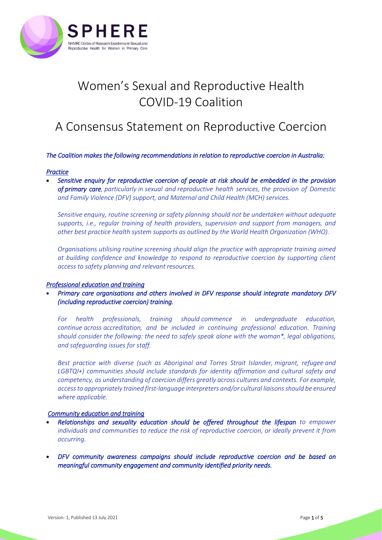

# Women's Sexual and Reproductive Health COVID-19 Coalition

# A Consensus Statement on Reproductive Coercion

#### *The Coalition makes the following recommendations in relation to reproductive coercion in Australia:*

#### *Practice*

• *Sensitive enquiry for reproductive coercion of people at risk should be embedded in the provision of primary care, particularly in sexual and reproductive health services, the provision of Domestic and Family Violence (DFV) support, and Maternal and Child Health (MCH) services.*

*Sensitive enquiry, routine screening or safety planning should not be undertaken without adequate supports, i.e., regular training of health providers, supervision and support from managers, and other best practice health system supports as outlined by the World Health Organization (WHO).*

*Organisations utilising routine screening should align the practice with appropriate training aimed at building confidence and knowledge to respond to reproductive coercion by supporting client access to safety planning and relevant resources.* 

#### *Professional education and training*

• *Primary care organisations and others involved in DFV response should integrate mandatory DFV (including reproductive coercion) training.* 

*For health professionals, training should commence in undergraduate education, continue across accreditation, and be included in continuing professional education. Training should consider the following: the need to safely speak alone with the woman\*, legal obligations, and safeguarding issues for staff.*

*Best practice with diverse (such as Aboriginal and Torres Strait Islander, migrant, refugee and LGBTQI+) communities should include standards for identity affirmation and cultural safety and competency, as understanding of coercion differs greatly across cultures and contexts. For example, access to appropriately trained first-language interpreters and/or cultural liaisons should be ensured where applicable.*

#### *Community education and training*

- *Relationships and sexuality education should be offered throughout the lifespan to empower*  individuals and communities to reduce the risk of reproductive coercion, or ideally prevent it from *occurring.*
- *DFV community awareness campaigns should include reproductive coercion and be based on meaningful community engagement and community identified priority needs.*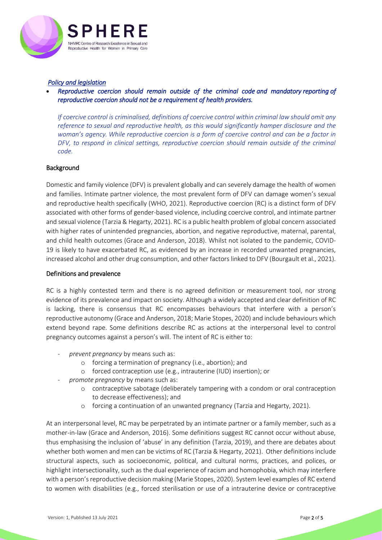

#### *Policy and legislation*

• *Reproductive coercion should remain outside of the criminal code and mandatory reporting of reproductive coercion should not be a requirement of health providers.*

*If coercive control is criminalised, definitions of coercive control within criminal law should omit any reference to sexual and reproductive health, as this would significantly hamper disclosure and the woman's agency. While reproductive coercion is a form of coercive control and can be a factor in DFV, to respond in clinical settings, reproductive coercion should remain outside of the criminal code.*

#### **Background**

Domestic and family violence (DFV) is prevalent globally and can severely damage the health of women and families. Intimate partner violence, the most prevalent form of DFV can damage women's sexual and reproductive health specifically (WHO, 2021). Reproductive coercion (RC) is a distinct form of DFV associated with other forms of gender-based violence, including coercive control, and intimate partner and sexual violence (Tarzia & Hegarty, 2021). RC is a public health problem of global concern associated with higher rates of unintended pregnancies, abortion, and negative reproductive, maternal, parental, and child health outcomes (Grace and Anderson, 2018). Whilst not isolated to the pandemic, COVID-19 is likely to have exacerbated RC, as evidenced by an increase in recorded unwanted pregnancies, increased alcohol and other drug consumption, and other factors linked to DFV (Bourgault et al., 2021).

#### Definitions and prevalence

RC is a highly contested term and there is no agreed definition or measurement tool, nor strong evidence of its prevalence and impact on society. Although a widely accepted and clear definition of RC is lacking, there is consensus that RC encompasses behaviours that interfere with a person's reproductive autonomy (Grace and Anderson, 2018; Marie Stopes, 2020) and include behaviours which extend beyond rape. Some definitions describe RC as actions at the interpersonal level to control pregnancy outcomes against a person's will. The intent of RC is either to:

- *prevent pregnancy* by means such as:
	- o forcing a termination of pregnancy (i.e., abortion); and
	- o forced contraception use (e.g., intrauterine (IUD) insertion); or
- *promote pregnancy* by means such as:
	- o contraceptive sabotage (deliberately tampering with a condom or oral contraception to decrease effectiveness); and
	- o forcing a continuation of an unwanted pregnancy (Tarzia and Hegarty, 2021).

At an interpersonal level, RC may be perpetrated by an intimate partner or a family member, such as a mother-in-law (Grace and Anderson, 2016). Some definitions suggest RC cannot occur without abuse, thus emphasising the inclusion of 'abuse' in any definition (Tarzia, 2019), and there are debates about whether both women and men can be victims of RC (Tarzia & Hegarty, 2021). Other definitions include structural aspects, such as socioeconomic, political, and cultural norms, practices, and polices, or highlight intersectionality, such as the dual experience of racism and homophobia, which may interfere with a person's reproductive decision making (Marie Stopes, 2020). System level examples of RC extend to women with disabilities (e.g., forced sterilisation or use of a intrauterine device or contraceptive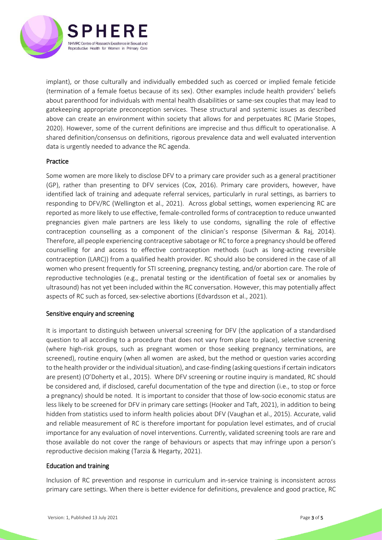

implant), or those culturally and individually embedded such as coerced or implied female feticide (termination of a female foetus because of its sex). Other examples include health providers' beliefs about parenthood for individuals with mental health disabilities or same-sex couples that may lead to gatekeeping appropriate preconception services. These structural and systemic issues as described above can create an environment within society that allows for and perpetuates RC (Marie Stopes, 2020). However, some of the current definitions are imprecise and thus difficult to operationalise. A shared definition/consensus on definitions, rigorous prevalence data and well evaluated intervention data is urgently needed to advance the RC agenda.

## Practice

Some women are more likely to disclose DFV to a primary care provider such as a general practitioner (GP), rather than presenting to DFV services (Cox, 2016). Primary care providers, however, have identified lack of training and adequate referral services, particularly in rural settings, as barriers to responding to DFV/RC (Wellington et al., 2021). Across global settings, women experiencing RC are reported as more likely to use effective, female-controlled forms of contraception to reduce unwanted pregnancies given male partners are less likely to use condoms, signalling the role of effective contraception counselling as a component of the clinician's response (Silverman & Raj, 2014). Therefore, all people experiencing contraceptive sabotage or RC to force a pregnancy should be offered counselling for and access to effective contraception methods (such as long-acting reversible contraception (LARC)) from a qualified health provider. RC should also be considered in the case of all women who present frequently for STI screening, pregnancy testing, and/or abortion care. The role of reproductive technologies (e.g., prenatal testing or the identification of foetal sex or anomalies by ultrasound) has not yet been included within the RC conversation. However, this may potentially affect aspects of RC such as forced, sex-selective abortions (Edvardsson et al., 2021).

# Sensitive enquiry and screening

It is important to distinguish between universal screening for DFV (the application of a standardised question to all according to a procedure that does not vary from place to place), selective screening (where high‐risk groups, such as pregnant women or those seeking pregnancy terminations, are screened), routine enquiry (when all women are asked, but the method or question varies according to the health provider or the individual situation), and case-finding (asking questions if certain indicators are present) (O'Doherty et al., 2015). Where DFV screening or routine inquiry is mandated, RC should be considered and, if disclosed, careful documentation of the type and direction (i.e., to stop or force a pregnancy) should be noted. It is important to consider that those of low-socio economic status are less likely to be screened for DFV in primary care settings (Hooker and Taft, 2021), in addition to being hidden from statistics used to inform health policies about DFV (Vaughan et al., 2015). Accurate, valid and reliable measurement of RC is therefore important for population level estimates, and of crucial importance for any evaluation of novel interventions. Currently, validated screening tools are rare and those available do not cover the range of behaviours or aspects that may infringe upon a person's reproductive decision making (Tarzia & Hegarty, 2021).

#### Education and training

Inclusion of RC prevention and response in curriculum and in-service training is inconsistent across primary care settings. When there is better evidence for definitions, prevalence and good practice, RC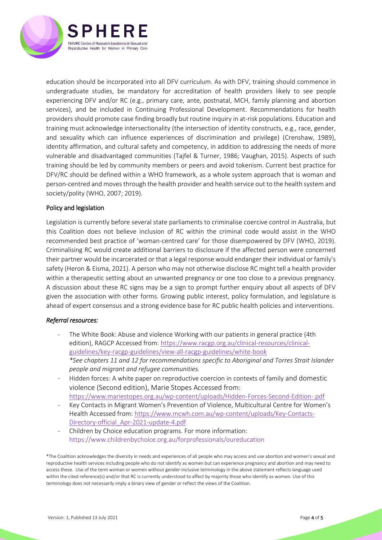

education should be incorporated into all DFV curriculum. As with DFV, training should commence in undergraduate studies, be mandatory for accreditation of health providers likely to see people experiencing DFV and/or RC (e.g., primary care, ante, postnatal, MCH, family planning and abortion services), and be included in Continuing Professional Development. Recommendations for health providersshould promote case finding broadly but routine inquiry in at-risk populations. Education and training must acknowledge intersectionality (the intersection of identity constructs, e.g., race, gender, and sexuality which can influence experiences of discrimination and privilege) (Crenshaw, 1989), identity affirmation, and cultural safety and competency, in addition to addressing the needs of more vulnerable and disadvantaged communities (Tajfel & Turner, 1986; Vaughan, 2015). Aspects of such training should be led by community members or peers and avoid tokenism. Current best practice for DFV/RC should be defined within a WHO framework, as a whole system approach that is woman and person-centred and moves through the health provider and health service out to the health system and society/polity (WHO, 2007; 2019).

## Policy and legislation

Legislation is currently before several state parliaments to criminalise coercive control in Australia, but this Coalition does not believe inclusion of RC within the criminal code would assist in the WHO recommended best practice of 'woman-centred care' for those disempowered by DFV (WHO, 2019). Criminalising RC would create additional barriers to disclosure if the affected person were concerned their partner would be incarcerated or that a legal response would endanger their individual or family's safety (Heron & Eisma, 2021). A person who may not otherwise disclose RC might tell a health provider within a therapeutic setting about an unwanted pregnancy or one too close to a previous pregnancy. A discussion about these RC signs may be a sign to prompt further enquiry about all aspects of DFV given the association with other forms. Growing public interest, policy formulation, and legislature is ahead of expert consensus and a strong evidence base for RC public health policies and interventions.

#### *Referral resources:*

- The White Book: Abuse and violence Working with our patients in general practice (4th edition), RAGCP Accessed from[: https://www.racgp.org.au/clinical-resources/clinical](https://www.racgp.org.au/clinical-resources/clinical-guidelines/key-racgp-guidelines/view-all-racgp-guidelines/white-book)[guidelines/key-racgp-guidelines/view-all-racgp-guidelines/white-book](https://www.racgp.org.au/clinical-resources/clinical-guidelines/key-racgp-guidelines/view-all-racgp-guidelines/white-book) *\*See chapters 11 and 12 for recommendations specific to Aboriginal and Torres Strait Islander people and migrant and refugee communities.*
- Hidden forces: A white paper on reproductive coercion in contexts of family and domestic violence (Second edition), Marie Stopes Accessed from: <https://www.mariestopes.org.au/wp-content/uploads/Hidden-Forces-Second-Edition-.pdf>
- Key Contacts in Migrant Women's Prevention of Violence, Multicultural Centre for Women's Health Accessed from[: https://www.mcwh.com.au/wp-content/uploads/Key-Contacts-](https://www.mcwh.com.au/wp-content/uploads/Key-Contacts-Directory-official_Apr-2021-update-4.pdf)[Directory-official\\_Apr-2021-update-4.pdf](https://www.mcwh.com.au/wp-content/uploads/Key-Contacts-Directory-official_Apr-2021-update-4.pdf)
- Children by Choice education programs. For more information: https://www.childrenbychoice.org.au/forprofessionals/oureducation

<sup>\*</sup>The Coalition acknowledges the diversity in needs and experiences of all people who may access and use abortion and women's sexual and reproductive health services including people who do not identify as women but can experience pregnancy and abortion and may need to access these. Use of the term woman or women without gender-inclusive terminology in the above statement reflects language used within the cited reference(s) and/or that RC is currently understood to affect by majority those who identify as women. Use of this terminology does not necessarily imply a binary view of gender or reflect the views of the Coalition.